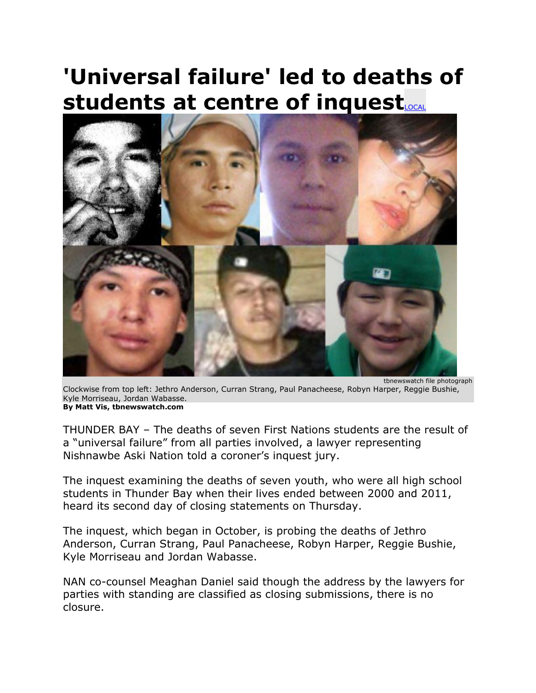## **'Universal failure' led to deaths of students at centre of inquest**



tbnewswatch file photograph Clockwise from top left: Jethro Anderson, Curran Strang, Paul Panacheese, Robyn Harper, Reggie Bushie, Kyle Morriseau, Jordan Wabasse. **By Matt Vis, tbnewswatch.com**

THUNDER BAY – The deaths of seven First Nations students are the result of a "universal failure" from all parties involved, a lawyer representing Nishnawbe Aski Nation told a coroner's inquest jury.

The inquest examining the deaths of seven youth, who were all high school students in Thunder Bay when their lives ended between 2000 and 2011, heard its second day of closing statements on Thursday.

The inquest, which began in October, is probing the deaths of Jethro Anderson, Curran Strang, Paul Panacheese, Robyn Harper, Reggie Bushie, Kyle Morriseau and Jordan Wabasse.

NAN co-counsel Meaghan Daniel said though the address by the lawyers for parties with standing are classified as closing submissions, there is no closure.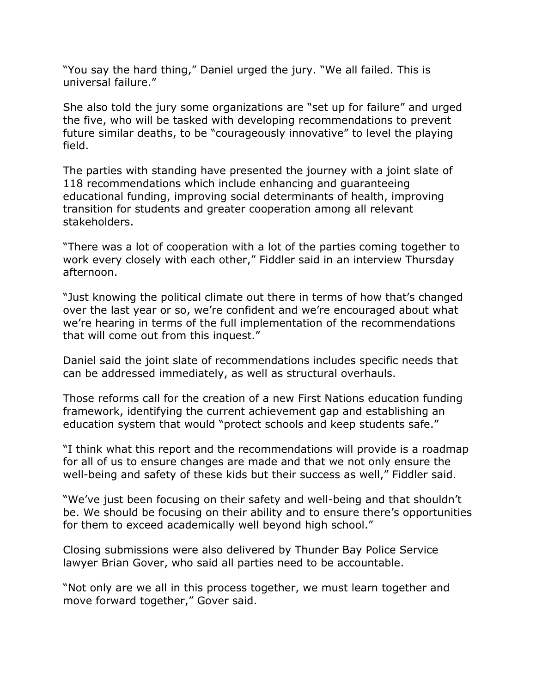"You say the hard thing," Daniel urged the jury. "We all failed. This is universal failure."

She also told the jury some organizations are "set up for failure" and urged the five, who will be tasked with developing recommendations to prevent future similar deaths, to be "courageously innovative" to level the playing field.

The parties with standing have presented the journey with a joint slate of 118 recommendations which include enhancing and guaranteeing educational funding, improving social determinants of health, improving transition for students and greater cooperation among all relevant stakeholders.

"There was a lot of cooperation with a lot of the parties coming together to work every closely with each other," Fiddler said in an interview Thursday afternoon.

"Just knowing the political climate out there in terms of how that's changed over the last year or so, we're confident and we're encouraged about what we're hearing in terms of the full implementation of the recommendations that will come out from this inquest."

Daniel said the joint slate of recommendations includes specific needs that can be addressed immediately, as well as structural overhauls.

Those reforms call for the creation of a new First Nations education funding framework, identifying the current achievement gap and establishing an education system that would "protect schools and keep students safe."

"I think what this report and the recommendations will provide is a roadmap for all of us to ensure changes are made and that we not only ensure the well-being and safety of these kids but their success as well," Fiddler said.

"We've just been focusing on their safety and well-being and that shouldn't be. We should be focusing on their ability and to ensure there's opportunities for them to exceed academically well beyond high school."

Closing submissions were also delivered by Thunder Bay Police Service lawyer Brian Gover, who said all parties need to be accountable.

"Not only are we all in this process together, we must learn together and move forward together," Gover said.